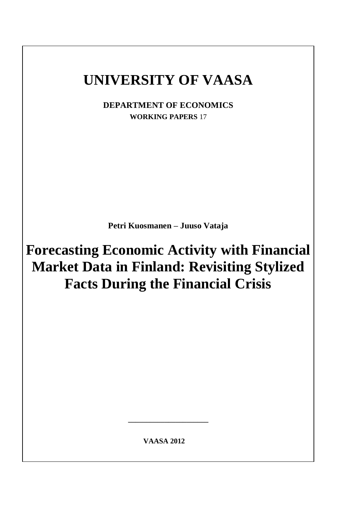# **UNIVERSITY OF VAASA**

**DEPARTMENT OF ECONOMICS WORKING PAPERS** 17

**Petri Kuosmanen – Juuso Vataja**

**Forecasting Economic Activity with Financial Market Data in Finland: Revisiting Stylized Facts During the Financial Crisis** 

 **VAASA 2012**

**\_\_\_\_\_\_\_\_\_\_\_\_\_\_\_\_\_\_\_\_\_\_**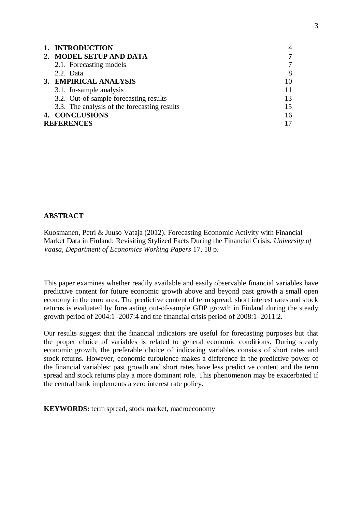| 1. INTRODUCTION                              | 4  |  |  |  |  |
|----------------------------------------------|----|--|--|--|--|
| 2. MODEL SETUP AND DATA                      | 7  |  |  |  |  |
| 2.1. Forecasting models                      |    |  |  |  |  |
| 2.2. Data                                    | 8  |  |  |  |  |
| 3. EMPIRICAL ANALYSIS                        | 10 |  |  |  |  |
| 3.1. In-sample analysis                      |    |  |  |  |  |
| 3.2. Out-of-sample forecasting results       | 13 |  |  |  |  |
| 3.3. The analysis of the forecasting results | 15 |  |  |  |  |
| 4. CONCLUSIONS                               | 16 |  |  |  |  |
| <b>REFERENCES</b>                            |    |  |  |  |  |

## **ABSTRACT**

Kuosmanen, Petri & Juuso Vataja (2012). Forecasting Economic Activity with Financial Market Data in Finland: Revisiting Stylized Facts During the Financial Crisis. *University of Vaasa, Department of Economics Working Papers* 17, 18 p.

This paper examines whether readily available and easily observable financial variables have predictive content for future economic growth above and beyond past growth a small open economy in the euro area. The predictive content of term spread, short interest rates and stock returns is evaluated by forecasting out-of-sample GDP growth in Finland during the steady growth period of 2004:1–2007:4 and the financial crisis period of 2008:1–2011:2.

Our results suggest that the financial indicators are useful for forecasting purposes but that the proper choice of variables is related to general economic conditions. During steady economic growth, the preferable choice of indicating variables consists of short rates and stock returns. However, economic turbulence makes a difference in the predictive power of the financial variables: past growth and short rates have less predictive content and the term spread and stock returns play a more dominant role. This phenomenon may be exacerbated if the central bank implements a zero interest rate policy.

**KEYWORDS:** term spread, stock market, macroeconomy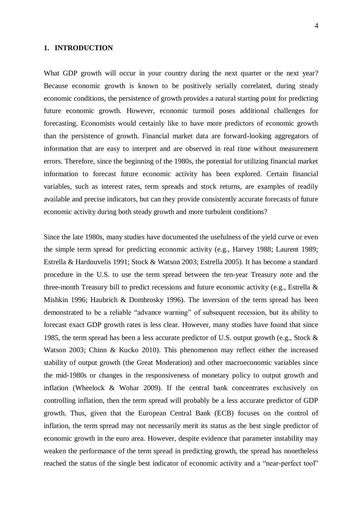#### **1. INTRODUCTION**

What GDP growth will occur in your country during the next quarter or the next year? Because economic growth is known to be positively serially correlated, during steady economic conditions, the persistence of growth provides a natural starting point for predicting future economic growth. However, economic turmoil poses additional challenges for forecasting. Economists would certainly like to have more predictors of economic growth than the persistence of growth. Financial market data are forward-looking aggregators of information that are easy to interpret and are observed in real time without measurement errors. Therefore, since the beginning of the 1980s, the potential for utilizing financial market information to forecast future economic activity has been explored. Certain financial variables, such as interest rates, term spreads and stock returns, are examples of readily available and precise indicators, but can they provide consistently accurate forecasts of future economic activity during both steady growth and more turbulent conditions?

Since the late 1980s, many studies have documented the usefulness of the yield curve or even the simple term spread for predicting economic activity (e.g., Harvey 1988; Laurent 1989; Estrella & Hardouvelis 1991; Stock & Watson 2003; Estrella 2005). It has become a standard procedure in the U.S. to use the term spread between the ten-year Treasury note and the three-month Treasury bill to predict recessions and future economic activity (e.g., Estrella & Mishkin 1996; Haubrich & Dombrosky 1996). The inversion of the term spread has been demonstrated to be a reliable "advance warning" of subsequent recession, but its ability to forecast exact GDP growth rates is less clear. However, many studies have found that since 1985, the term spread has been a less accurate predictor of U.S. output growth (e.g., Stock & Watson 2003; Chinn & Kucko 2010). This phenomenon may reflect either the increased stability of output growth (the Great Moderation) and other macroeconomic variables since the mid-1980s or changes in the responsiveness of monetary policy to output growth and inflation (Wheelock & Wohar 2009). If the central bank concentrates exclusively on controlling inflation, then the term spread will probably be a less accurate predictor of GDP growth. Thus, given that the European Central Bank (ECB) focuses on the control of inflation, the term spread may not necessarily merit its status as the best single predictor of economic growth in the euro area. However, despite evidence that parameter instability may weaken the performance of the term spread in predicting growth, the spread has nonetheless reached the status of the single best indicator of economic activity and a "near-perfect tool"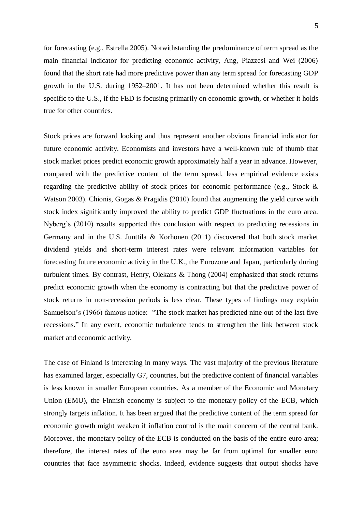5

for forecasting (e.g., Estrella 2005). Notwithstanding the predominance of term spread as the main financial indicator for predicting economic activity, Ang, Piazzesi and Wei (2006) found that the short rate had more predictive power than any term spread for forecasting GDP growth in the U.S. during 1952–2001. It has not been determined whether this result is specific to the U.S., if the FED is focusing primarily on economic growth, or whether it holds true for other countries.

Stock prices are forward looking and thus represent another obvious financial indicator for future economic activity. Economists and investors have a well-known rule of thumb that stock market prices predict economic growth approximately half a year in advance. However, compared with the predictive content of the term spread, less empirical evidence exists regarding the predictive ability of stock prices for economic performance (e.g., Stock & Watson 2003). Chionis, Gogas & Pragidis (2010) found that augmenting the yield curve with stock index significantly improved the ability to predict GDP fluctuations in the euro area. Nyberg's (2010) results supported this conclusion with respect to predicting recessions in Germany and in the U.S. Junttila & Korhonen (2011) discovered that both stock market dividend yields and short-term interest rates were relevant information variables for forecasting future economic activity in the U.K., the Eurozone and Japan, particularly during turbulent times. By contrast, Henry, Olekans & Thong (2004) emphasized that stock returns predict economic growth when the economy is contracting but that the predictive power of stock returns in non-recession periods is less clear. These types of findings may explain Samuelson's (1966) famous notice: "The stock market has predicted nine out of the last five recessions." In any event, economic turbulence tends to strengthen the link between stock market and economic activity.

The case of Finland is interesting in many ways. The vast majority of the previous literature has examined larger, especially G7, countries, but the predictive content of financial variables is less known in smaller European countries. As a member of the Economic and Monetary Union (EMU), the Finnish economy is subject to the monetary policy of the ECB, which strongly targets inflation. It has been argued that the predictive content of the term spread for economic growth might weaken if inflation control is the main concern of the central bank. Moreover, the monetary policy of the ECB is conducted on the basis of the entire euro area; therefore, the interest rates of the euro area may be far from optimal for smaller euro countries that face asymmetric shocks. Indeed, evidence suggests that output shocks have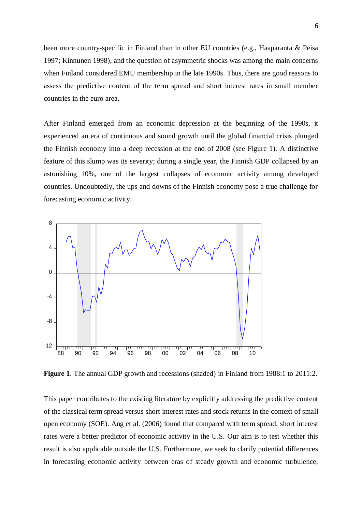been more country-specific in Finland than in other EU countries (e.g., Haaparanta & Peisa 1997; Kinnunen 1998), and the question of asymmetric shocks was among the main concerns when Finland considered EMU membership in the late 1990s. Thus, there are good reasons to assess the predictive content of the term spread and short interest rates in small member countries in the euro area.

After Finland emerged from an economic depression at the beginning of the 1990s, it experienced an era of continuous and sound growth until the global financial crisis plunged the Finnish economy into a deep recession at the end of 2008 (see Figure 1). A distinctive feature of this slump was its severity; during a single year, the Finnish GDP collapsed by an astonishing 10%, one of the largest collapses of economic activity among developed countries. Undoubtedly, the ups and downs of the Finnish economy pose a true challenge for forecasting economic activity.



**Figure 1**. The annual GDP growth and recessions (shaded) in Finland from 1988:1 to 2011:2.

This paper contributes to the existing literature by explicitly addressing the predictive content of the classical term spread versus short interest rates and stock returns in the context of small open economy (SOE). Ang et al. (2006) found that compared with term spread, short interest rates were a better predictor of economic activity in the U.S. Our aim is to test whether this result is also applicable outside the U.S. Furthermore, we seek to clarify potential differences in forecasting economic activity between eras of steady growth and economic turbulence,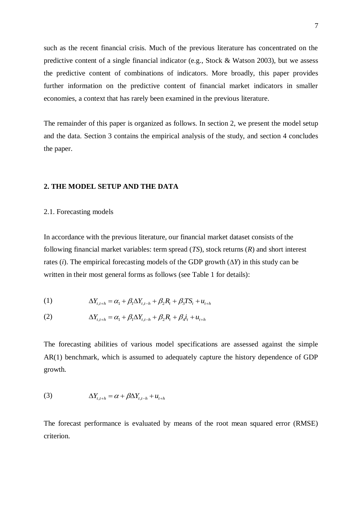such as the recent financial crisis. Much of the previous literature has concentrated on the predictive content of a single financial indicator (e.g., Stock & Watson 2003), but we assess the predictive content of combinations of indicators. More broadly, this paper provides further information on the predictive content of financial market indicators in smaller economies, a context that has rarely been examined in the previous literature.

The remainder of this paper is organized as follows. In section 2, we present the model setup and the data. Section 3 contains the empirical analysis of the study, and section 4 concludes the paper.

#### **2. THE MODEL SETUP AND THE DATA**

2.1. Forecasting models

In accordance with the previous literature, our financial market dataset consists of the following financial market variables: term spread (*TS*), stock returns (*R*) and short interest rates (*i*). The empirical forecasting models of the GDP growth (∆*Y*) in this study can be written in their most general forms as follows (see Table 1 for details):

(1) 
$$
\Delta Y_{t,t+h} = \alpha_1 + \beta_1 \Delta Y_{t,t-h} + \beta_2 R_t + \beta_3 T S_t + u_{t+h}
$$

(2) 
$$
\Delta Y_{t,t+h} = \alpha_1 + \beta_1 \Delta Y_{t,t-h} + \beta_2 R_t + \beta_4 i_t + u_{t+h}
$$

The forecasting abilities of various model specifications are assessed against the simple AR(1) benchmark, which is assumed to adequately capture the history dependence of GDP growth.

(3) 
$$
\Delta Y_{t,t+h} = \alpha + \beta \Delta Y_{t,t-h} + u_{t+h}
$$

The forecast performance is evaluated by means of the root mean squared error (RMSE) criterion.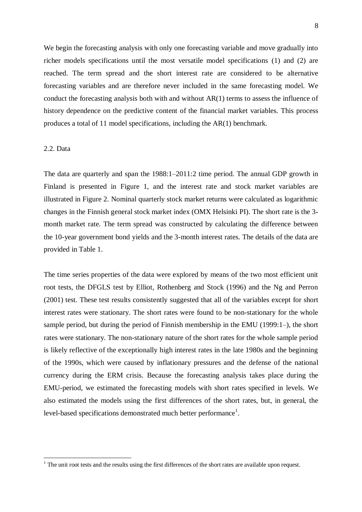We begin the forecasting analysis with only one forecasting variable and move gradually into richer models specifications until the most versatile model specifications (1) and (2) are reached. The term spread and the short interest rate are considered to be alternative forecasting variables and are therefore never included in the same forecasting model. We conduct the forecasting analysis both with and without  $AR(1)$  terms to assess the influence of history dependence on the predictive content of the financial market variables. This process produces a total of 11 model specifications, including the AR(1) benchmark.

#### 2.2. Data

<u>.</u>

The data are quarterly and span the 1988:1–2011:2 time period. The annual GDP growth in Finland is presented in Figure 1, and the interest rate and stock market variables are illustrated in Figure 2. Nominal quarterly stock market returns were calculated as logarithmic changes in the Finnish general stock market index (OMX Helsinki PI). The short rate is the 3 month market rate. The term spread was constructed by calculating the difference between the 10-year government bond yields and the 3-month interest rates. The details of the data are provided in Table 1.

The time series properties of the data were explored by means of the two most efficient unit root tests, the DFGLS test by Elliot, Rothenberg and Stock (1996) and the Ng and Perron (2001) test. These test results consistently suggested that all of the variables except for short interest rates were stationary. The short rates were found to be non-stationary for the whole sample period, but during the period of Finnish membership in the EMU (1999:1–), the short rates were stationary. The non-stationary nature of the short rates for the whole sample period is likely reflective of the exceptionally high interest rates in the late 1980s and the beginning of the 1990s, which were caused by inflationary pressures and the defense of the national currency during the ERM crisis. Because the forecasting analysis takes place during the EMU-period, we estimated the forecasting models with short rates specified in levels. We also estimated the models using the first differences of the short rates, but, in general, the level-based specifications demonstrated much better performance<sup>1</sup>.

<sup>&</sup>lt;sup>1</sup> The unit root tests and the results using the first differences of the short rates are available upon request.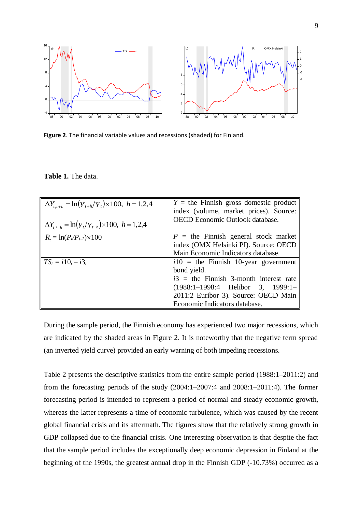

**Figure 2**. The financial variable values and recessions (shaded) for Finland.

| $\Delta Y_{t,t+h} = \ln(Y_{t+h}/Y_t) \times 100, \ h = 1,2,4$<br>$\Delta Y_{t,t-h} = \ln(Y_t/Y_{t-h}) \times 100, \quad h = 1,2,4$ | $Y =$ the Finnish gross domestic product<br>index (volume, market prices). Source:<br><b>OECD</b> Economic Outlook database.                                                                                    |  |  |  |  |
|------------------------------------------------------------------------------------------------------------------------------------|-----------------------------------------------------------------------------------------------------------------------------------------------------------------------------------------------------------------|--|--|--|--|
| $R_t = \ln(P_t/P_{t-1}) \times 100$                                                                                                | $P =$ the Finnish general stock market<br>index (OMX Helsinki PI). Source: OECD<br>Main Economic Indicators database.                                                                                           |  |  |  |  |
| $TS_t = i10_t - i3_t$                                                                                                              | $i10$ = the Finnish 10-year government<br>bond yield.<br>$i3$ = the Finnish 3-month interest rate<br>(1988:1-1998:4 Helibor 3, 1999:1-<br>2011:2 Euribor 3). Source: OECD Main<br>Economic Indicators database. |  |  |  |  |

**Table 1.** The data.

During the sample period, the Finnish economy has experienced two major recessions, which are indicated by the shaded areas in Figure 2. It is noteworthy that the negative term spread (an inverted yield curve) provided an early warning of both impeding recessions.

Table 2 presents the descriptive statistics from the entire sample period (1988:1–2011:2) and from the forecasting periods of the study (2004:1–2007:4 and 2008:1–2011:4). The former forecasting period is intended to represent a period of normal and steady economic growth, whereas the latter represents a time of economic turbulence, which was caused by the recent global financial crisis and its aftermath. The figures show that the relatively strong growth in GDP collapsed due to the financial crisis. One interesting observation is that despite the fact that the sample period includes the exceptionally deep economic depression in Finland at the beginning of the 1990s, the greatest annual drop in the Finnish GDP (-10.73%) occurred as a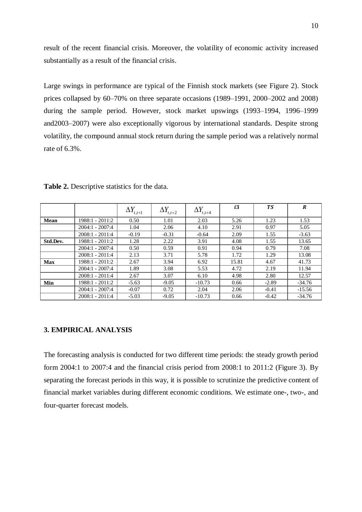result of the recent financial crisis. Moreover, the volatility of economic activity increased substantially as a result of the financial crisis.

Large swings in performance are typical of the Finnish stock markets (see Figure 2). Stock prices collapsed by 60–70% on three separate occasions (1989–1991, 2000–2002 and 2008) during the sample period. However, stock market upswings (1993–1994, 1996–1999 and2003–2007) were also exceptionally vigorous by international standards. Despite strong volatility, the compound annual stock return during the sample period was a relatively normal rate of 6.3%.

|            |                   | $\Delta Y_{t,t+1}$ | $\Delta Y_{t,t+2}$ | $\Delta Y_{t,t+4}$ | i3    | <b>TS</b> | $\boldsymbol{R}$ |
|------------|-------------------|--------------------|--------------------|--------------------|-------|-----------|------------------|
| Mean       | 1988:1 - 2011:2   | 0.50               | 1.01               | 2.03               | 5.26  | 1.23      | 1.53             |
|            | $2004:1 - 2007:4$ | 1.04               | 2.06               | 4.10               | 2.91  | 0.97      | 5.05             |
|            | $2008:1 - 2011:4$ | $-0.19$            | $-0.31$            | $-0.64$            | 2.09  | 1.55      | $-3.63$          |
| Std.Dev.   | 1988:1 - 2011:2   | 1.28               | 2.22               | 3.91               | 4.08  | 1.55      | 13.65            |
|            | $2004:1 - 2007:4$ | 0.50               | 0.59               | 0.91               | 0.94  | 0.79      | 7.08             |
|            | $2008:1 - 2011:4$ | 2.13               | 3.71               | 5.78               | 1.72  | 1.29      | 13.08            |
| <b>Max</b> | 1988:1 - 2011:2   | 2.67               | 3.94               | 6.92               | 15.81 | 4.67      | 41.73            |
|            | $2004:1 - 2007:4$ | 1.89               | 3.08               | 5.53               | 4.72  | 2.19      | 11.94            |
|            | $2008:1 - 2011:4$ | 2.67               | 3.07               | 6.10               | 4.98  | 2.80      | 12.57            |
| Min        | 1988:1 - 2011:2   | $-5.63$            | $-9.05$            | $-10.73$           | 0.66  | $-2.89$   | $-34.76$         |
|            | $2004:1 - 2007:4$ | $-0.07$            | 0.72               | 2.04               | 2.06  | $-0.41$   | $-15.56$         |
|            | $2008:1 - 2011:4$ | $-5.03$            | $-9.05$            | $-10.73$           | 0.66  | $-0.42$   | $-34.76$         |

**Table 2.** Descriptive statistics for the data.

## **3. EMPIRICAL ANALYSIS**

The forecasting analysis is conducted for two different time periods: the steady growth period form 2004:1 to 2007:4 and the financial crisis period from 2008:1 to 2011:2 (Figure 3). By separating the forecast periods in this way, it is possible to scrutinize the predictive content of financial market variables during different economic conditions. We estimate one-, two-, and four-quarter forecast models.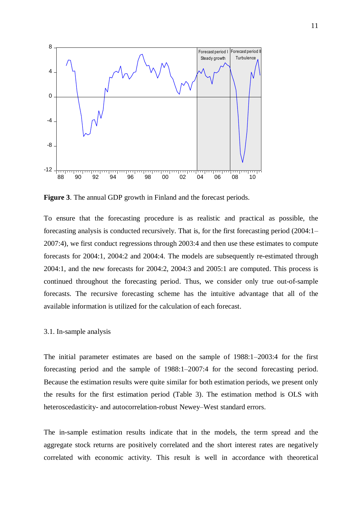

**Figure 3**. The annual GDP growth in Finland and the forecast periods.

To ensure that the forecasting procedure is as realistic and practical as possible, the forecasting analysis is conducted recursively. That is, for the first forecasting period (2004:1– 2007:4), we first conduct regressions through 2003:4 and then use these estimates to compute forecasts for 2004:1, 2004:2 and 2004:4. The models are subsequently re-estimated through 2004:1, and the new forecasts for 2004:2, 2004:3 and 2005:1 are computed. This process is continued throughout the forecasting period. Thus, we consider only true out-of-sample forecasts. The recursive forecasting scheme has the intuitive advantage that all of the available information is utilized for the calculation of each forecast.

### 3.1. In-sample analysis

The initial parameter estimates are based on the sample of 1988:1–2003:4 for the first forecasting period and the sample of 1988:1–2007:4 for the second forecasting period. Because the estimation results were quite similar for both estimation periods, we present only the results for the first estimation period (Table 3). The estimation method is OLS with heteroscedasticity- and autocorrelation-robust Newey–West standard errors.

The in-sample estimation results indicate that in the models, the term spread and the aggregate stock returns are positively correlated and the short interest rates are negatively correlated with economic activity. This result is well in accordance with theoretical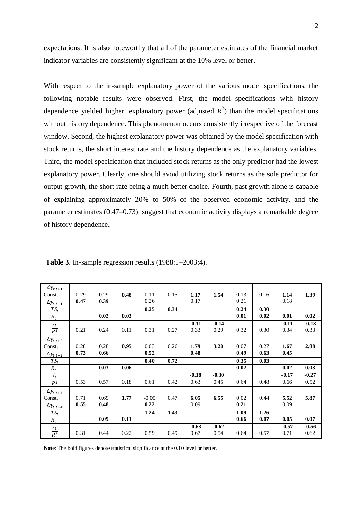expectations. It is also noteworthy that all of the parameter estimates of the financial market indicator variables are consistently significant at the 10% level or better.

With respect to the in-sample explanatory power of the various model specifications, the following notable results were observed. First, the model specifications with history dependence yielded higher explanatory power (adjusted  $R^2$ ) than the model specifications without history dependence. This phenomenon occurs consistently irrespective of the forecast window. Second, the highest explanatory power was obtained by the model specification with stock returns, the short interest rate and the history dependence as the explanatory variables. Third, the model specification that included stock returns as the only predictor had the lowest explanatory power. Clearly, one should avoid utilizing stock returns as the sole predictor for output growth, the short rate being a much better choice. Fourth, past growth alone is capable of explaining approximately 20% to 50% of the observed economic activity, and the parameter estimates (0.47–0.73) suggest that economic activity displays a remarkable degree of history dependence.

| $dy_{t,t+1}$       |      |      |      |         |      |         |         |      |      |         |         |
|--------------------|------|------|------|---------|------|---------|---------|------|------|---------|---------|
| Const.             | 0.29 | 0.29 | 0.48 | 0.11    | 0.15 | 1.17    | 1.54    | 0.13 | 0.16 | 1.14    | 1.39    |
| $\Delta y_{t,t-1}$ | 0.47 | 0.39 |      | 0.26    |      | 0.17    |         | 0.21 |      | 0.18    |         |
| $TS_t$             |      |      |      | 0.25    | 0.34 |         |         | 0.24 | 0.30 |         |         |
| $R_t$              |      | 0.02 | 0.03 |         |      |         |         | 0.01 | 0.02 | 0.01    | 0.02    |
| $i_t$              |      |      |      |         |      | $-0.11$ | $-0.14$ |      |      | $-0.11$ | $-0.13$ |
| $R^2$              | 0.21 | 0.24 | 0.11 | 0.31    | 0.27 | 0.33    | 0.29    | 0.32 | 0.30 | 0.34    | 0.33    |
| $\Delta y_{t,t+2}$ |      |      |      |         |      |         |         |      |      |         |         |
| Const.             | 0.28 | 0.28 | 0.95 | 0.03    | 0.26 | 1.79    | 3.20    | 0.07 | 0.27 | 1.67    | 2.88    |
| $\Delta y_{t,t-2}$ | 0.73 | 0.66 |      | 0.52    |      | 0.48    |         | 0.49 | 0.63 | 0.45    |         |
| $TS_t$             |      |      |      | 0.40    | 0.72 |         |         | 0.35 | 0.03 |         |         |
| $R_t$              |      | 0.03 | 0.06 |         |      |         |         | 0.02 |      | 0.02    | 0.03    |
| $i_t$              |      |      |      |         |      | $-0.18$ | $-0.30$ |      |      | $-0.17$ | $-0.27$ |
| $\overline{R^2}$   | 0.53 | 0.57 | 0.18 | 0.61    | 0.42 | 0.63    | 0.45    | 0.64 | 0.48 | 0.66    | 0.52    |
| $\Delta y_{t,t+4}$ |      |      |      |         |      |         |         |      |      |         |         |
| Const.             | 0.71 | 0.69 | 1.77 | $-0.05$ | 0.47 | 6.05    | 6.55    | 0.02 | 0.44 | 5.52    | 5.87    |
| $\Delta y_{t,t-4}$ | 0.55 | 0.48 |      | 0.22    |      | 0.09    |         | 0.21 |      | 0.09    |         |
| $TS_t$             |      |      |      | 1.24    | 1.43 |         |         | 1.09 | 1.26 |         |         |
| $R_t$              |      | 0.09 | 0.11 |         |      |         |         | 0.66 | 0.07 | 0.05    | 0.07    |
| $i_t$              |      |      |      |         |      | $-0.63$ | $-0.62$ |      |      | $-0.57$ | $-0.56$ |
| $R^2$              | 0.31 | 0.44 | 0.22 | 0.59    | 0.49 | 0.67    | 0.54    | 0.64 | 0.57 | 0.71    | 0.62    |

**Table 3**. In-sample regression results (1988:1–2003:4).

**Note**: The bold figures denote statistical significance at the 0.10 level or better.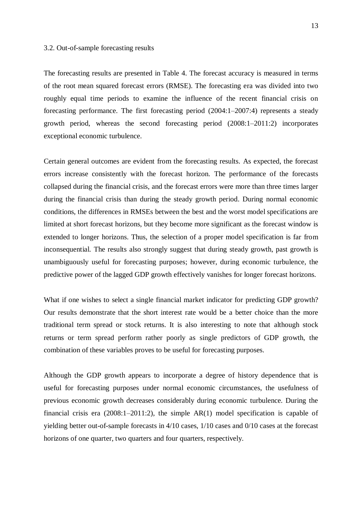### 3.2. Out-of-sample forecasting results

The forecasting results are presented in Table 4. The forecast accuracy is measured in terms of the root mean squared forecast errors (RMSE). The forecasting era was divided into two roughly equal time periods to examine the influence of the recent financial crisis on forecasting performance. The first forecasting period (2004:1–2007:4) represents a steady growth period, whereas the second forecasting period (2008:1–2011:2) incorporates exceptional economic turbulence.

Certain general outcomes are evident from the forecasting results. As expected, the forecast errors increase consistently with the forecast horizon. The performance of the forecasts collapsed during the financial crisis, and the forecast errors were more than three times larger during the financial crisis than during the steady growth period. During normal economic conditions, the differences in RMSEs between the best and the worst model specifications are limited at short forecast horizons, but they become more significant as the forecast window is extended to longer horizons. Thus, the selection of a proper model specification is far from inconsequential. The results also strongly suggest that during steady growth, past growth is unambiguously useful for forecasting purposes; however, during economic turbulence, the predictive power of the lagged GDP growth effectively vanishes for longer forecast horizons.

What if one wishes to select a single financial market indicator for predicting GDP growth? Our results demonstrate that the short interest rate would be a better choice than the more traditional term spread or stock returns. It is also interesting to note that although stock returns or term spread perform rather poorly as single predictors of GDP growth, the combination of these variables proves to be useful for forecasting purposes.

Although the GDP growth appears to incorporate a degree of history dependence that is useful for forecasting purposes under normal economic circumstances, the usefulness of previous economic growth decreases considerably during economic turbulence. During the financial crisis era  $(2008:1-2011:2)$ , the simple AR(1) model specification is capable of yielding better out-of-sample forecasts in 4/10 cases, 1/10 cases and 0/10 cases at the forecast horizons of one quarter, two quarters and four quarters, respectively.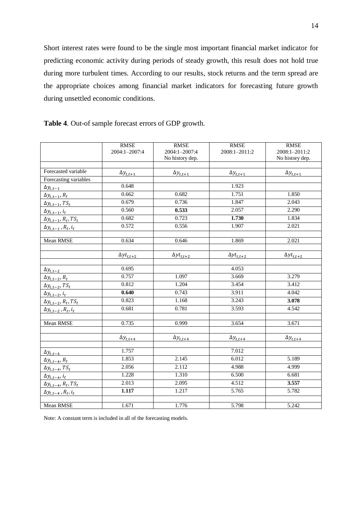Short interest rates were found to be the single most important financial market indicator for predicting economic activity during periods of steady growth, this result does not hold true during more turbulent times. According to our results, stock returns and the term spread are the appropriate choices among financial market indicators for forecasting future growth during unsettled economic conditions.

|                                      | <b>RMSE</b><br>2004:1-2007:4 | <b>RMSE</b><br>2004:1-2007:4<br>No history dep. | <b>RMSE</b><br>2008:1-2011:2 | <b>RMSE</b><br>2008:1-2011:2<br>No history dep. |
|--------------------------------------|------------------------------|-------------------------------------------------|------------------------------|-------------------------------------------------|
|                                      |                              |                                                 |                              |                                                 |
| Forecasted variable                  | $\Delta y_{t,t+1}$           | $\Delta y_{t,t+1}$                              | $\Delta y_{t,t+1}$           | $\Delta y_{t,t+1}$                              |
| Forecasting variables                |                              |                                                 |                              |                                                 |
| $\Delta y_{t,t-1}$                   | 0.648                        |                                                 | 1.923                        |                                                 |
| $\Delta y_{t,t-1}, R_t$              | 0.662                        | 0.682                                           | 1.751                        | 1.850                                           |
| $\Delta y_{t,t-1}$ , TS <sub>t</sub> | 0.679                        | 0.736                                           | 1.847                        | 2.043                                           |
| $\Delta y_{t,t-1}, i_t$              | 0.560                        | 0.533                                           | 2.057                        | 2.290                                           |
| $\Delta y_{t,t-1}, R_t, TS_t$        | 0.682                        | 0.723                                           | 1.730                        | 1.834                                           |
| $\Delta y_{t,t-1}$ , $R_t$ , $i_t$   | 0.572                        | 0.556                                           | 1.907                        | 2.021                                           |
| Mean RMSE                            | 0.634                        | 0.646                                           | 1.869                        | 2.021                                           |
|                                      |                              |                                                 |                              |                                                 |
|                                      | $\Delta y t_{t,t+2}$         | $\Delta y t_{t,t+2}$                            | $\Delta y t_{t,t+2}$         | $\Delta y t_{t,t+2}$                            |
| $\Delta y_{t,t-2}$                   | 0.695                        |                                                 | 4.053                        |                                                 |
| $\Delta y_{t,t-2}, R_t$              | 0.757                        | 1.097                                           | 3.669                        | 3.279                                           |
| $\Delta y_{t,t-2}$ , TS <sub>t</sub> | 0.812                        | 1.204                                           | 3.454                        | 3.412                                           |
| $\Delta y_{t,t-2}, i_t$              | 0.640                        | 0.743                                           | 3.911                        | 4.042                                           |
| $\Delta y_{t,t-2}, R_t, TS_t$        | 0.823                        | 1.168                                           | 3.243                        | 3.078                                           |
| $\Delta y_{t,t-2}$ , $R_t$ , $i_t$   | 0.681                        | 0.781                                           | 3.593                        | 4.542                                           |
| Mean RMSE                            | 0.735                        | 0.999                                           | 3.654                        | 3.671                                           |
|                                      | $\Delta y_{t,t+4}$           | $\Delta y_{t,t+4}$                              | $\Delta y_{t,t+4}$           | $\Delta y_{t,t+4}$                              |
| $\Delta y_{t,t-4}$                   | 1.757                        |                                                 | 7.012                        |                                                 |
| $\Delta y_{t,t-4}, R_t$              | 1.853                        | 2.145                                           | 6.012                        | 5.189                                           |
| $\Delta y_{t,t-4}$ , TS <sub>t</sub> | 2.056                        | 2.112                                           | 4.988                        | 4.999                                           |
| $\Delta y_{t,t-4}, i_t$              | 1.228                        | 1.310                                           | 6.500                        | 6.681                                           |
| $\Delta y_{t,t-4}, R_t, TS_t$        | 2.013                        | 2.095                                           | 4.512                        | 3.557                                           |
| $\Delta y_{t,t-4}$ , $R_t$ , $i_t$   | 1.117                        | 1.217                                           | 5.765                        | 5.782                                           |
|                                      |                              |                                                 |                              |                                                 |
| Mean RMSE                            | 1.671                        | 1.776                                           | 5.798                        | 5.242                                           |

**Table 4**. Out-of sample forecast errors of GDP growth.

Note: A constant term is included in all of the forecasting models.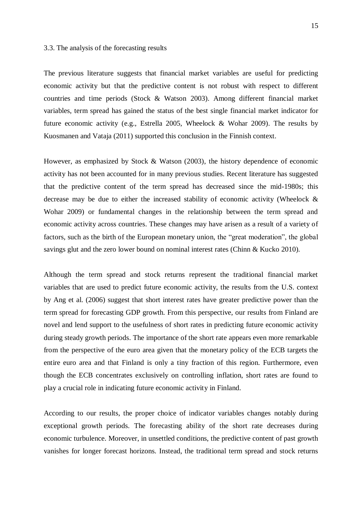#### 3.3. The analysis of the forecasting results

The previous literature suggests that financial market variables are useful for predicting economic activity but that the predictive content is not robust with respect to different countries and time periods (Stock & Watson 2003). Among different financial market variables, term spread has gained the status of the best single financial market indicator for future economic activity (e.g., Estrella 2005, Wheelock & Wohar 2009). The results by Kuosmanen and Vataja (2011) supported this conclusion in the Finnish context.

However, as emphasized by Stock & Watson (2003), the history dependence of economic activity has not been accounted for in many previous studies. Recent literature has suggested that the predictive content of the term spread has decreased since the mid-1980s; this decrease may be due to either the increased stability of economic activity (Wheelock & Wohar 2009) or fundamental changes in the relationship between the term spread and economic activity across countries. These changes may have arisen as a result of a variety of factors, such as the birth of the European monetary union, the "great moderation", the global savings glut and the zero lower bound on nominal interest rates (Chinn & Kucko 2010).

Although the term spread and stock returns represent the traditional financial market variables that are used to predict future economic activity, the results from the U.S. context by Ang et al. (2006) suggest that short interest rates have greater predictive power than the term spread for forecasting GDP growth. From this perspective, our results from Finland are novel and lend support to the usefulness of short rates in predicting future economic activity during steady growth periods. The importance of the short rate appears even more remarkable from the perspective of the euro area given that the monetary policy of the ECB targets the entire euro area and that Finland is only a tiny fraction of this region. Furthermore, even though the ECB concentrates exclusively on controlling inflation, short rates are found to play a crucial role in indicating future economic activity in Finland.

According to our results, the proper choice of indicator variables changes notably during exceptional growth periods. The forecasting ability of the short rate decreases during economic turbulence. Moreover, in unsettled conditions, the predictive content of past growth vanishes for longer forecast horizons. Instead, the traditional term spread and stock returns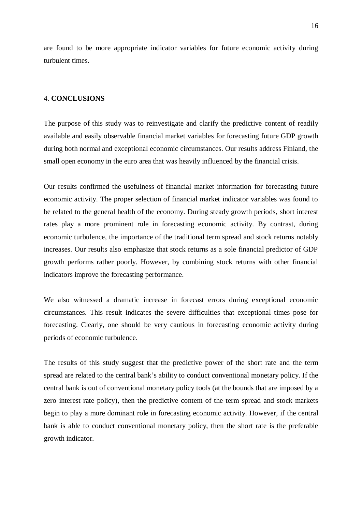are found to be more appropriate indicator variables for future economic activity during turbulent times.

### 4. **CONCLUSIONS**

The purpose of this study was to reinvestigate and clarify the predictive content of readily available and easily observable financial market variables for forecasting future GDP growth during both normal and exceptional economic circumstances. Our results address Finland, the small open economy in the euro area that was heavily influenced by the financial crisis.

Our results confirmed the usefulness of financial market information for forecasting future economic activity. The proper selection of financial market indicator variables was found to be related to the general health of the economy. During steady growth periods, short interest rates play a more prominent role in forecasting economic activity. By contrast, during economic turbulence, the importance of the traditional term spread and stock returns notably increases. Our results also emphasize that stock returns as a sole financial predictor of GDP growth performs rather poorly. However, by combining stock returns with other financial indicators improve the forecasting performance.

We also witnessed a dramatic increase in forecast errors during exceptional economic circumstances. This result indicates the severe difficulties that exceptional times pose for forecasting. Clearly, one should be very cautious in forecasting economic activity during periods of economic turbulence.

The results of this study suggest that the predictive power of the short rate and the term spread are related to the central bank's ability to conduct conventional monetary policy. If the central bank is out of conventional monetary policy tools (at the bounds that are imposed by a zero interest rate policy), then the predictive content of the term spread and stock markets begin to play a more dominant role in forecasting economic activity. However, if the central bank is able to conduct conventional monetary policy, then the short rate is the preferable growth indicator.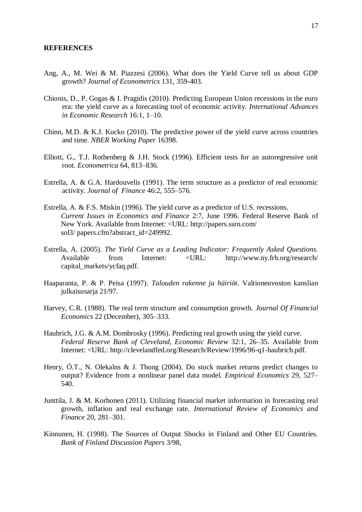#### **REFERENCES**

- Ang, A., M. Wei & M. Piazzesi (2006). What does the Yield Curve tell us about GDP growth? *Journal of Econometrics* 131, 359-403.
- Chionis, D., P. Gogas & I. Pragidis (2010). Predicting European Union recessions in the euro era: the yield curve as a forecasting tool of economic activity. *International Advances in Economic Research* 16:1, 1–10.
- Chinn, M.D. & K.J. Kucko (2010). The predictive power of the yield curve across countries and time. *NBER Working Paper* 16398.
- Elliott, G., T.J. Rothenberg & J.H. Stock (1996). Efficient tests for an autoregressive unit root. *Econometrica* 64, 813–836.
- Estrella, A. & G.A. Hardouvelis (1991). The term structure as a predictor of real economic activity. *Journal of Finance* 46:2, 555–576.
- Estrella, A. & F.S. Miskin (1996). The yield curve as a predictor of U.S. recessions. *Current Issues in Economics and Finance* 2:7, June 1996. Federal Reserve Bank of New York. Available from Internet: <URL: http://papers.ssrn.com/ sol3/ papers.cfm?abstract\_id=249992.
- Estrella, A. (2005). *The Yield Curve as a Leading Indicator: Frequently Asked Questions.* Available from Internet: <URL: http://www.ny.frb.org/research/ capital\_markets/ycfaq.pdf.
- Haaparanta, P. & P. Peisa (1997). *Talouden rakenne ja häiriöt*. Valtioneuvoston kanslian julkaisusarja 21/97.
- Harvey, C.R. (1988). The real term structure and consumption growth. *Journal Of Financial Economics* 22 (December), 305–333.
- Haubrich, J.G. & A.M. Dombrosky (1996). Predicting real growth using the yield curve. *Federal Reserve Bank of Cleveland, Economic Review* 32:1, 26–35. Available from Internet: <URL: http://clevelandfed.org/Research/Review/1996/96-q1-haubrich.pdf.
- Henry, Ó.T., N. Olekalns & J. Thong (2004). Do stock market returns predict changes to output? Evidence from a nonlinear panel data model. *Empirical Economics* 29, 527– 540.
- Junttila, J. & M. Korhonen (2011). Utilizing financial market information in forecasting real growth, inflation and real exchange rate. *International Review of Economics and Finance* 20, 281–301.
- Kinnunen, H. (1998). The Sources of Output Shocks in Finland and Other EU Countries. *Bank of Finland Discussion Papers* 3/98,